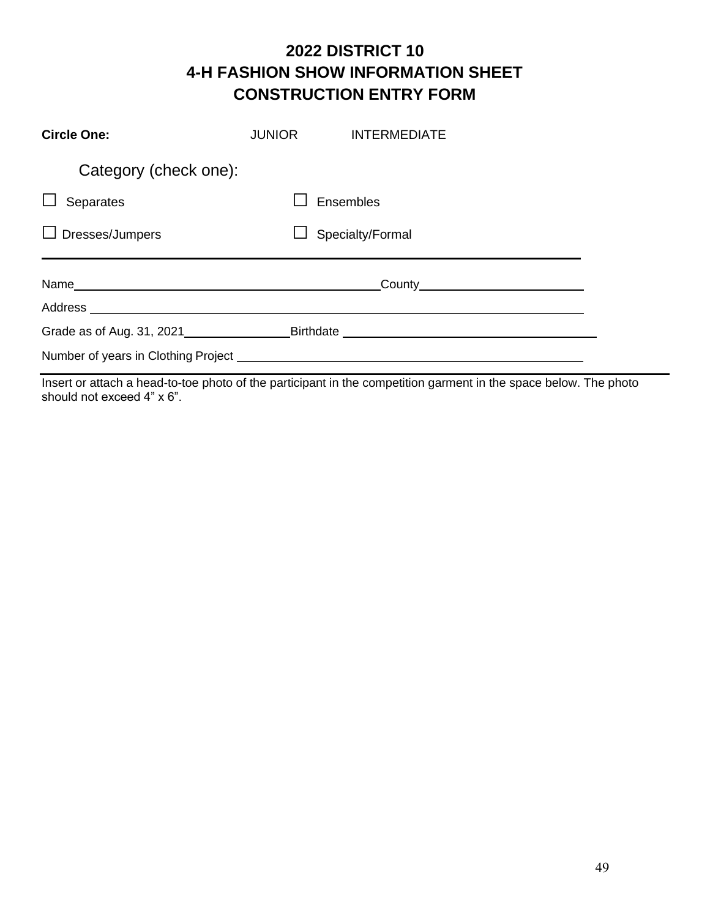## **2022 DISTRICT 10 4-H FASHION SHOW INFORMATION SHEET CONSTRUCTION ENTRY FORM**

| <b>Circle One:</b>     | <b>JUNIOR</b> | <b>INTERMEDIATE</b> |
|------------------------|---------------|---------------------|
| Category (check one):  |               |                     |
| Separates              |               | Ensembles           |
| $\Box$ Dresses/Jumpers |               | Specialty/Formal    |
|                        |               |                     |
|                        |               |                     |
|                        |               |                     |
|                        |               |                     |

Insert or attach a head-to-toe photo of the participant in the competition garment in the space below. The photo should not exceed 4" x 6".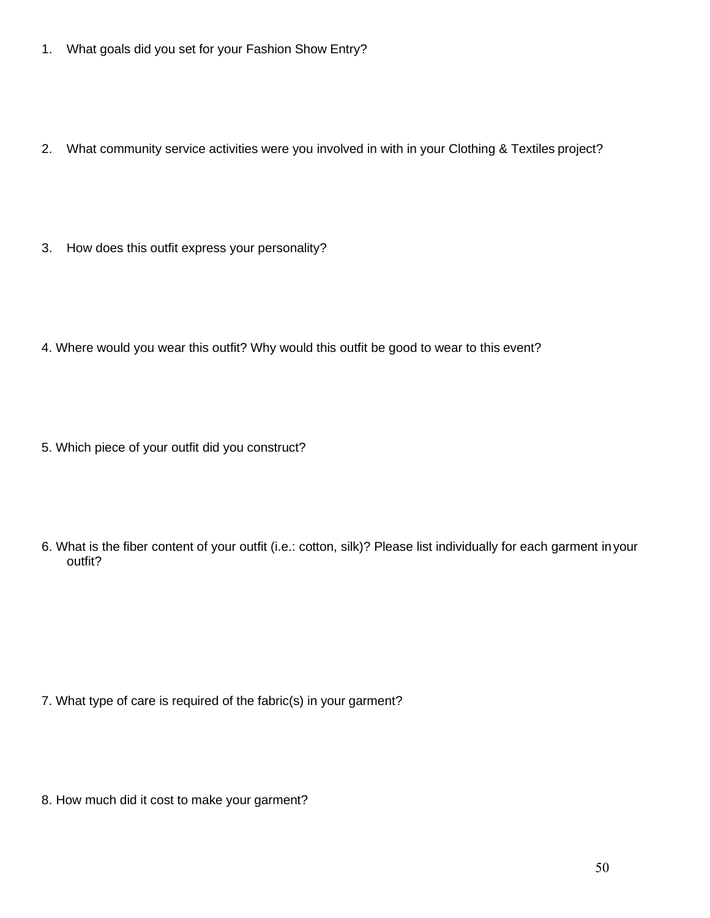- 1. What goals did you set for your Fashion Show Entry?
- 2. What community service activities were you involved in with in your Clothing & Textiles project?
- 3. How does this outfit express your personality?
- 4. Where would you wear this outfit? Why would this outfit be good to wear to this event?
- 5. Which piece of your outfit did you construct?
- 6. What is the fiber content of your outfit (i.e.: cotton, silk)? Please list individually for each garment inyour outfit?

- 7. What type of care is required of the fabric(s) in your garment?
- 8. How much did it cost to make your garment?